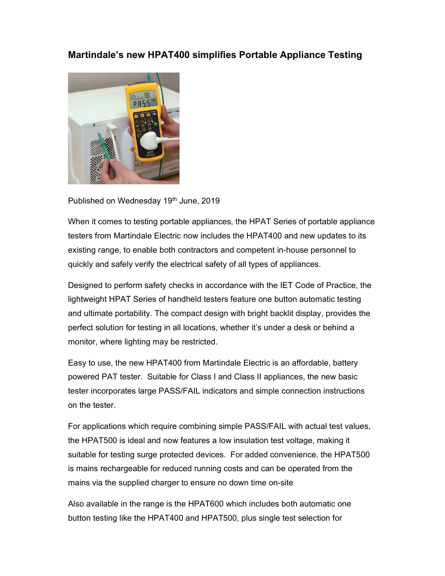## Martindale's new HPAT400 simplifies Portable Appliance Testing



Published on Wednesday 19<sup>th</sup> June, 2019

When it comes to testing portable appliances, the HPAT Series of portable appliance testers from Martindale Electric now includes the HPAT400 and new updates to its existing range, to enable both contractors and competent in-house personnel to quickly and safely verify the electrical safety of all types of appliances.

Designed to perform safety checks in accordance with the IET Code of Practice, the lightweight HPAT Series of handheld testers feature one button automatic testing and ultimate portability. The compact design with bright backlit display, provides the perfect solution for testing in all locations, whether it's under a desk or behind a monitor, where lighting may be restricted.

Easy to use, the new HPAT400 from Martindale Electric is an affordable, battery powered PAT tester. Suitable for Class I and Class II appliances, the new basic tester incorporates large PASS/FAIL indicators and simple connection instructions on the tester.

For applications which require combining simple PASS/FAIL with actual test values, the HPAT500 is ideal and now features a low insulation test voltage, making it suitable for testing surge protected devices. For added convenience, the HPAT500 is mains rechargeable for reduced running costs and can be operated from the mains via the supplied charger to ensure no down time on-site

Also available in the range is the HPAT600 which includes both automatic one button testing like the HPAT400 and HPAT500, plus single test selection for